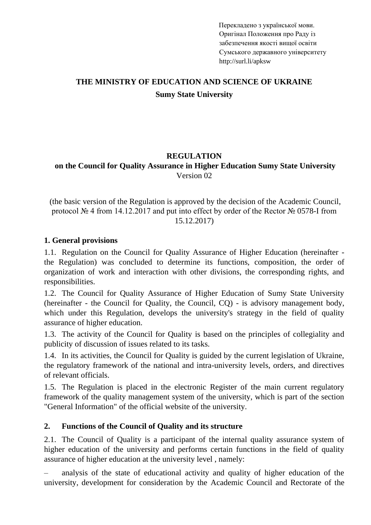Перекладено з української мови. Оригінал Положення про Раду із забезпечення якості вищої освіти Сумського державного університету http://surl.li/apksw

# THE MINISTRY OF EDUCATION AND SCIENCE OF UKRAINE **Sumy State University**

#### **REGULATION on the Council for Quality Assurance in Higher Education Sumy State University** Version 02

(the basic version of the Regulation is approved by the decision of the Academic Council, protocol № 4 from 14.12.2017 and put into effect by order of the Rector № 0578-І from 15.12.2017)

### **1. General provisions**

1.1. Regulation on the Council for Quality Assurance of Higher Education (hereinafter the Regulation) was concluded to determine its functions, composition, the order of organization of work and interaction with other divisions, the corresponding rights, and responsibilities.

1.2. The Council for Quality Assurance of Higher Education of Sumy State University (hereinafter - the Council for Quality, the Council, CQ) - is advisory management body, which under this Regulation, develops the university's strategy in the field of quality assurance of higher education.

1.3. The activity of the Council for Quality is based on the principles of collegiality and publicity of discussion of issues related to its tasks.

1.4. In its activities, the Council for Quality is guided by the current legislation of Ukraine, the regulatory framework of the national and intra-university levels, orders, and directives of relevant officials.

1.5. The Regulation is placed in the electronic Register of the main current regulatory framework of the quality management system of the university, which is part of the section "General Information" of the official website of the university.

### **2. Functions of the Council of Quality and its structure**

2.1. The Council of Quality is a participant of the internal quality assurance system of higher education of the university and performs certain functions in the field of quality assurance of higher education at the university level , namely:

– analysis of the state of educational activity and quality of higher education of the university, development for consideration by the Academic Council and Rectorate of the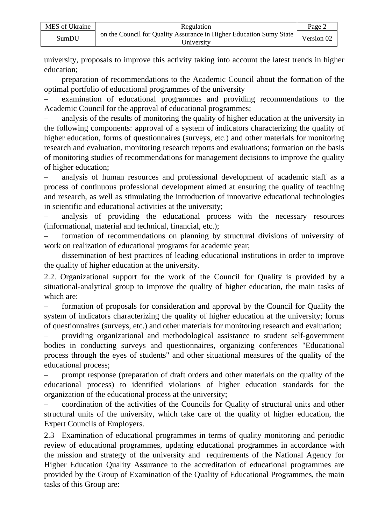| MES of Ukraine | Regulation                                                                                           | Page 2 |
|----------------|------------------------------------------------------------------------------------------------------|--------|
| SumDU          | on the Council for Quality Assurance in Higher Education Sumy State $\vert$ Version 02<br>Universitv |        |

university, proposals to improve this activity taking into account the latest trends in higher education;

– preparation of recommendations to the Academic Council about the formation of the optimal portfolio of educational programmes of the university

– examination of educational programmes and providing recommendations to the Academic Council for the approval of educational programmes;

– analysis of the results of monitoring the quality of higher education at the university in the following components: approval of a system of indicators characterizing the quality of higher education, forms of questionnaires (surveys, etc.) and other materials for monitoring research and evaluation, monitoring research reports and evaluations; formation on the basis of monitoring studies of recommendations for management decisions to improve the quality of higher education;

– analysis of human resources and professional development of academic staff as a process of continuous professional development aimed at ensuring the quality of teaching and research, as well as stimulating the introduction of innovative educational technologies in scientific and educational activities at the university;

– analysis of providing the educational process with the necessary resources (informational, material and technical, financial, etc.);

– formation of recommendations on planning by structural divisions of university of work on realization of educational programs for academic year;

– dissemination of best practices of leading educational institutions in order to improve the quality of higher education at the university.

2.2. Organizational support for the work of the Council for Quality is provided by a situational-analytical group to improve the quality of higher education, the main tasks of which are:

– formation of proposals for consideration and approval by the Council for Quality the system of indicators characterizing the quality of higher education at the university; forms of questionnaires (surveys, etc.) and other materials for monitoring research and evaluation;

– providing organizational and methodological assistance to student self-government bodies in conducting surveys and questionnaires, organizing conferences "Educational process through the eyes of students" and other situational measures of the quality of the educational process;

– prompt response (preparation of draft orders and other materials on the quality of the educational process) to identified violations of higher education standards for the organization of the educational process at the university;

– coordination of the activities of the Councils for Quality of structural units and other structural units of the university, which take care of the quality of higher education, the Expert Councils of Employers.

2.3 Examination of educational programmes in terms of quality monitoring and periodic review of educational programmes, updating educational programmes in accordance with the mission and strategy of the university and requirements of the National Agency for Higher Education Quality Assurance to the accreditation of educational programmes are provided by the Group of Examination of the Quality of Educational Programmes, the main tasks of this Group are: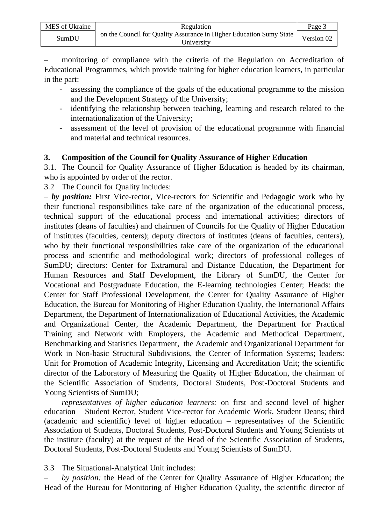– monitoring of compliance with the criteria of the Regulation on Accreditation of Educational Programmes, which provide training for higher education learners, in particular in the part:

- assessing the compliance of the goals of the educational programme to the mission and the Development Strategy of the University;
- identifying the relationship between teaching, learning and research related to the internationalization of the University;
- assessment of the level of provision of the educational programme with financial and material and technical resources.

## **3. Composition of the Council for Quality Assurance of Higher Education**

3.1. The Council for Quality Assurance of Higher Education is headed by its chairman, who is appointed by order of the rector.

3.2 The Council for Quality includes:

– *by position:* First Vice-rector, Vice-rectors for Scientific and Pedagogic work who by their functional responsibilities take care of the organization of the educational process, technical support of the educational process and international activities; directors of institutes (deans of faculties) and chairmen of Councils for the Quality of Higher Education of institutes (faculties, centers); deputy directors of institutes (deans of faculties, centers), who by their functional responsibilities take care of the organization of the educational process and scientific and methodological work; directors of professional colleges of SumDU; directors: Center for Extramural and Distance Education, the Department for Human Resources and Staff Development, the Library of SumDU, the Center for Vocational and Postgraduate Education, the E-learning technologies Center; Heads: the Center for Staff Professional Development, the Center for Quality Assurance of Higher Education, the Bureau for Monitoring of Higher Education Quality, the International Affairs Department, the Department of Internationalization of Educational Activities, the Academic and Organizational Center, the Academic Department, the Department for Practical Training and Network with Employers, the Academic and Methodical Department, Benchmarking and Statistics Department, the Academic and Organizational Department for Work in Non-basic Structural Subdivisions, the Center of Information Systems; leaders: Unit for Promotion of Academic Integrity, Licensing and Accreditation Unit; the scientific director of the Laboratory of Measuring the Quality of Higher Education, the chairman of the Scientific Association of Students, Doctoral Students, Post-Doctoral Students and Young Scientists of SumDU;

– *representatives of higher education learners:* on first and second level of higher education – Student Rector, Student Vice-rector for Academic Work, Student Deans; third (academic and scientific) level of higher education – representatives of the Scientific Association of Students, Doctoral Students, Post-Doctoral Students and Young Scientists of the institute (faculty) at the request of the Head of the Scientific Association of Students, Doctoral Students, Post-Doctoral Students and Young Scientists of SumDU.

### 3.3 The Situational-Analytical Unit includes:

– *by position:* the Head of the Center for Quality Assurance of Higher Education; the Head of the Bureau for Monitoring of Higher Education Quality, the scientific director of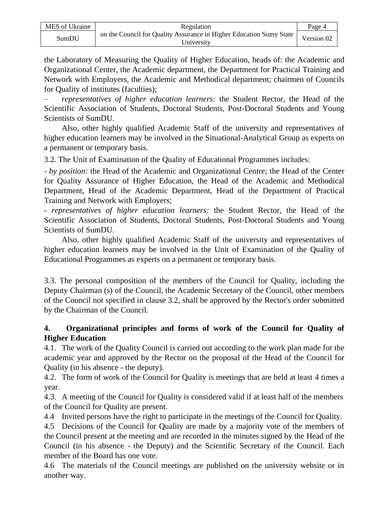| MES of Ukraine | Regulation                                                                        | Page 4     |
|----------------|-----------------------------------------------------------------------------------|------------|
| SumDU          | on the Council for Quality Assurance in Higher Education Sumy State<br>Universitv | Version 02 |

the Laboratory of Measuring the Quality of Higher Education, heads of: the Academic and Organizational Center, the Academic department, the Department for Practical Training and Network with Employers, the Academic and Methodical department; chairmen of Councils for Quality of institutes (faculties);

– *representatives of higher education learners:* the Student Rector, the Head of the Scientific Association of Students, Doctoral Students, Post-Doctoral Students and Young Scientists of SumDU.

Also, other highly qualified Academic Staff of the university and representatives of higher education learners may be involved in the Situational-Analytical Group as experts on a permanent or temporary basis.

3.2. The Unit of Examination of the Quality of Educational Programmes includes:

- *by position:* the Head of the Academic and Organizational Centre; the Head of the Center for Quality Assurance of Higher Education, the Head of the Academic and Methodical Department, Head of the Academic Department, Head of the Department of Practical Training and Network with Employers;

- *representatives of higher education learners:* the Student Rector, the Head of the Scientific Association of Students, Doctoral Students, Post-Doctoral Students and Young Scientists of SumDU.

Also, other highly qualified Academic Staff of the university and representatives of higher education learners may be involved in the Unit of Examination of the Quality of Educational Programmes as experts on a permanent or temporary basis.

3.3. The personal composition of the members of the Council for Quality, including the Deputy Chairman (s) of the Council, the Academic Secretary of the Council, other members of the Council not specified in clause 3.2, shall be approved by the Rector's order submitted by the Chairman of the Council.

## **4. Organizational principles and forms of work of the Council for Quality of Higher Education**

4.1. The work of the Quality Council is carried out according to the work plan made for the academic year and approved by the Rector on the proposal of the Head of the Council for Quality (in his absence - the deputy).

4.2. The form of work of the Council for Quality is meetings that are held at least 4 times a year.

4.3. A meeting of the Council for Quality is considered valid if at least half of the members of the Council for Quality are present.

4.4 Invited persons have the right to participate in the meetings of the Council for Quality.

4.5 Decisions of the Council for Quality are made by a majority vote of the members of the Council present at the meeting and are recorded in the minutes signed by the Head of the Council (in his absence - the Deputy) and the Scientific Secretary of the Council. Each member of the Board has one vote.

4.6 The materials of the Council meetings are published on the university website or in another way.